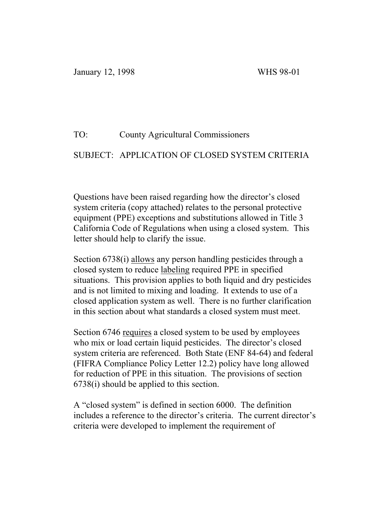### TO: County Agricultural Commissioners

### SUBJECT: APPLICATION OF CLOSED SYSTEM CRITERIA

Questions have been raised regarding how the director's closed system criteria (copy attached) relates to the personal protective equipment (PPE) exceptions and substitutions allowed in Title 3 California Code of Regulations when using a closed system. This letter should help to clarify the issue.

Section 6738(i) allows any person handling pesticides through a closed system to reduce labeling required PPE in specified situations. This provision applies to both liquid and dry pesticides and is not limited to mixing and loading. It extends to use of a closed application system as well. There is no further clarification in this section about what standards a closed system must meet.

Section 6746 requires a closed system to be used by employees who mix or load certain liquid pesticides. The director's closed system criteria are referenced. Both State (ENF 84-64) and federal (FIFRA Compliance Policy Letter 12.2) policy have long allowed for reduction of PPE in this situation. The provisions of section 6738(i) should be applied to this section.

A "closed system" is defined in section 6000. The definition includes a reference to the director's criteria. The current director's criteria were developed to implement the requirement of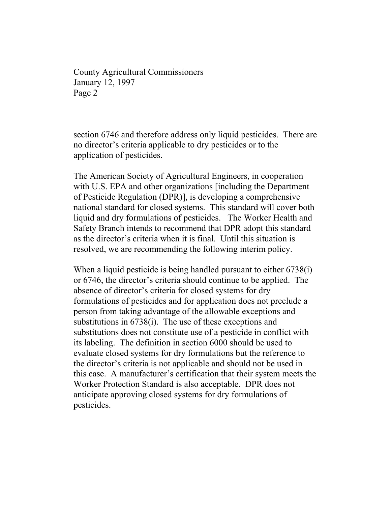County Agricultural Commissioners January 12, 1997 Page 2

section 6746 and therefore address only liquid pesticides. There are no director's criteria applicable to dry pesticides or to the application of pesticides.

The American Society of Agricultural Engineers, in cooperation with U.S. EPA and other organizations [including the Department of Pesticide Regulation (DPR)], is developing a comprehensive national standard for closed systems. This standard will cover both liquid and dry formulations of pesticides. The Worker Health and Safety Branch intends to recommend that DPR adopt this standard as the director's criteria when it is final. Until this situation is resolved, we are recommending the following interim policy.

When a liquid pesticide is being handled pursuant to either 6738(i) or 6746, the director's criteria should continue to be applied. The absence of director's criteria for closed systems for dry formulations of pesticides and for application does not preclude a person from taking advantage of the allowable exceptions and substitutions in 6738(i). The use of these exceptions and substitutions does not constitute use of a pesticide in conflict with its labeling. The definition in section 6000 should be used to evaluate closed systems for dry formulations but the reference to the director's criteria is not applicable and should not be used in this case. A manufacturer's certification that their system meets the Worker Protection Standard is also acceptable. DPR does not anticipate approving closed systems for dry formulations of pesticides.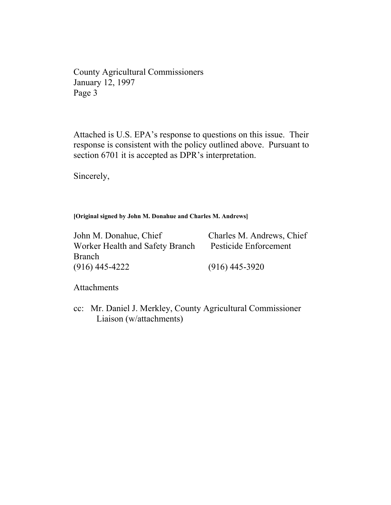County Agricultural Commissioners January 12, 1997 Page 3

Attached is U.S. EPA's response to questions on this issue. Their response is consistent with the policy outlined above. Pursuant to section 6701 it is accepted as DPR's interpretation.

Sincerely,

**[Original signed by John M. Donahue and Charles M. Andrews]**

John M. Donahue, Chief Charles M. Andrews, Chief Worker Health and Safety Branch Pesticide Enforcement Branch (916) 445-4222 (916) 445-3920

Attachments

cc: Mr. Daniel J. Merkley, County Agricultural Commissioner Liaison (w/attachments)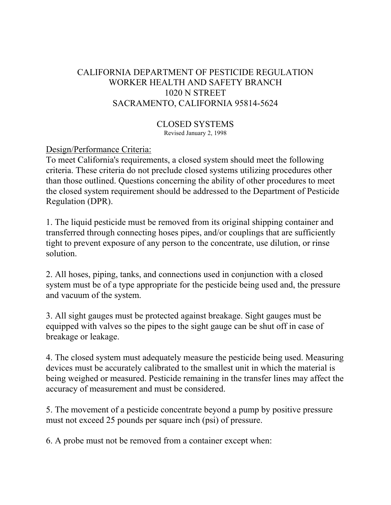# CALIFORNIA DEPARTMENT OF PESTICIDE REGULATION WORKER HEALTH AND SAFETY BRANCH 1020 N STREET SACRAMENTO, CALIFORNIA 95814-5624

CLOSED SYSTEMS Revised January 2, 1998

Design/Performance Criteria:

To meet California's requirements, a closed system should meet the following criteria. These criteria do not preclude closed systems utilizing procedures other than those outlined. Questions concerning the ability of other procedures to meet the closed system requirement should be addressed to the Department of Pesticide Regulation (DPR).

1. The liquid pesticide must be removed from its original shipping container and transferred through connecting hoses pipes, and/or couplings that are sufficiently tight to prevent exposure of any person to the concentrate, use dilution, or rinse solution.

2. All hoses, piping, tanks, and connections used in conjunction with a closed system must be of a type appropriate for the pesticide being used and, the pressure and vacuum of the system.

3. All sight gauges must be protected against breakage. Sight gauges must be equipped with valves so the pipes to the sight gauge can be shut off in case of breakage or leakage.

4. The closed system must adequately measure the pesticide being used. Measuring devices must be accurately calibrated to the smallest unit in which the material is being weighed or measured. Pesticide remaining in the transfer lines may affect the accuracy of measurement and must be considered.

5. The movement of a pesticide concentrate beyond a pump by positive pressure must not exceed 25 pounds per square inch (psi) of pressure.

6. A probe must not be removed from a container except when: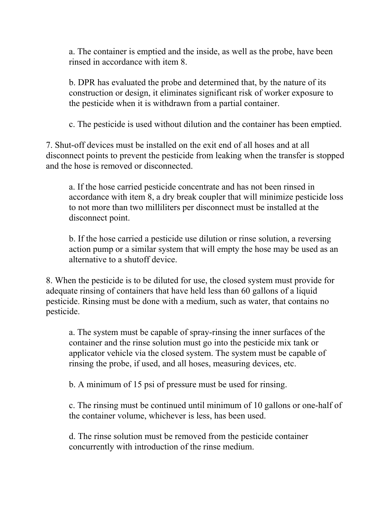a. The container is emptied and the inside, as well as the probe, have been rinsed in accordance with item 8.

b. DPR has evaluated the probe and determined that, by the nature of its construction or design, it eliminates significant risk of worker exposure to the pesticide when it is withdrawn from a partial container.

c. The pesticide is used without dilution and the container has been emptied.

7. Shut-off devices must be installed on the exit end of all hoses and at all disconnect points to prevent the pesticide from leaking when the transfer is stopped and the hose is removed or disconnected.

a. If the hose carried pesticide concentrate and has not been rinsed in accordance with item 8, a dry break coupler that will minimize pesticide loss to not more than two milliliters per disconnect must be installed at the disconnect point.

b. If the hose carried a pesticide use dilution or rinse solution, a reversing action pump or a similar system that will empty the hose may be used as an alternative to a shutoff device.

8. When the pesticide is to be diluted for use, the closed system must provide for adequate rinsing of containers that have held less than 60 gallons of a liquid pesticide. Rinsing must be done with a medium, such as water, that contains no pesticide.

a. The system must be capable of spray-rinsing the inner surfaces of the container and the rinse solution must go into the pesticide mix tank or applicator vehicle via the closed system. The system must be capable of rinsing the probe, if used, and all hoses, measuring devices, etc.

b. A minimum of 15 psi of pressure must be used for rinsing.

c. The rinsing must be continued until minimum of 10 gallons or one-half of the container volume, whichever is less, has been used.

d. The rinse solution must be removed from the pesticide container concurrently with introduction of the rinse medium.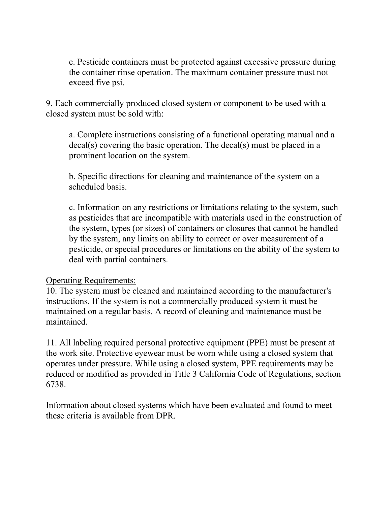e. Pesticide containers must be protected against excessive pressure during the container rinse operation. The maximum container pressure must not exceed five psi.

9. Each commercially produced closed system or component to be used with a closed system must be sold with:

a. Complete instructions consisting of a functional operating manual and a decal(s) covering the basic operation. The decal(s) must be placed in a prominent location on the system.

b. Specific directions for cleaning and maintenance of the system on a scheduled basis.

c. Information on any restrictions or limitations relating to the system, such as pesticides that are incompatible with materials used in the construction of the system, types (or sizes) of containers or closures that cannot be handled by the system, any limits on ability to correct or over measurement of a pesticide, or special procedures or limitations on the ability of the system to deal with partial containers.

### Operating Requirements:

10. The system must be cleaned and maintained according to the manufacturer's instructions. If the system is not a commercially produced system it must be maintained on a regular basis. A record of cleaning and maintenance must be maintained.

11. All labeling required personal protective equipment (PPE) must be present at the work site. Protective eyewear must be worn while using a closed system that operates under pressure. While using a closed system, PPE requirements may be reduced or modified as provided in Title 3 California Code of Regulations, section 6738.

Information about closed systems which have been evaluated and found to meet these criteria is available from DPR.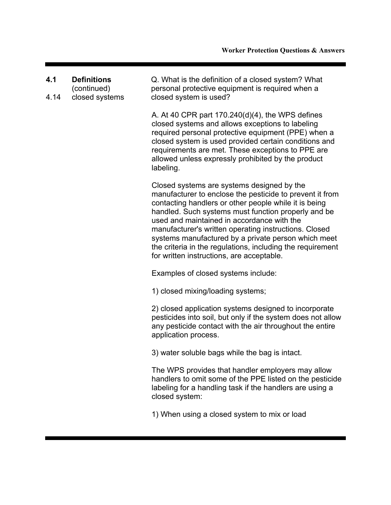| 4.1<br>4.14 | <b>Definitions</b><br>(continued)<br>closed systems | Q. What is the definition of a closed system? What<br>personal protective equipment is required when a<br>closed system is used?                                                                                                                                                                                                                                                                                                                                                                |
|-------------|-----------------------------------------------------|-------------------------------------------------------------------------------------------------------------------------------------------------------------------------------------------------------------------------------------------------------------------------------------------------------------------------------------------------------------------------------------------------------------------------------------------------------------------------------------------------|
|             |                                                     | A. At 40 CPR part $170.240(d)(4)$ , the WPS defines<br>closed systems and allows exceptions to labeling<br>required personal protective equipment (PPE) when a<br>closed system is used provided certain conditions and<br>requirements are met. These exceptions to PPE are<br>allowed unless expressly prohibited by the product<br>labeling.                                                                                                                                                 |
|             |                                                     | Closed systems are systems designed by the<br>manufacturer to enclose the pesticide to prevent it from<br>contacting handlers or other people while it is being<br>handled. Such systems must function properly and be<br>used and maintained in accordance with the<br>manufacturer's written operating instructions. Closed<br>systems manufactured by a private person which meet<br>the criteria in the regulations, including the requirement<br>for written instructions, are acceptable. |
|             |                                                     | Examples of closed systems include:                                                                                                                                                                                                                                                                                                                                                                                                                                                             |
|             |                                                     | 1) closed mixing/loading systems;                                                                                                                                                                                                                                                                                                                                                                                                                                                               |
|             |                                                     | 2) closed application systems designed to incorporate<br>pesticides into soil, but only if the system does not allow<br>any pesticide contact with the air throughout the entire<br>application process.                                                                                                                                                                                                                                                                                        |
|             |                                                     | 3) water soluble bags while the bag is intact.                                                                                                                                                                                                                                                                                                                                                                                                                                                  |
|             |                                                     | The WPS provides that handler employers may allow<br>handlers to omit some of the PPE listed on the pesticide<br>labeling for a handling task if the handlers are using a<br>closed system:                                                                                                                                                                                                                                                                                                     |
|             |                                                     | 1) When using a closed system to mix or load                                                                                                                                                                                                                                                                                                                                                                                                                                                    |
|             |                                                     |                                                                                                                                                                                                                                                                                                                                                                                                                                                                                                 |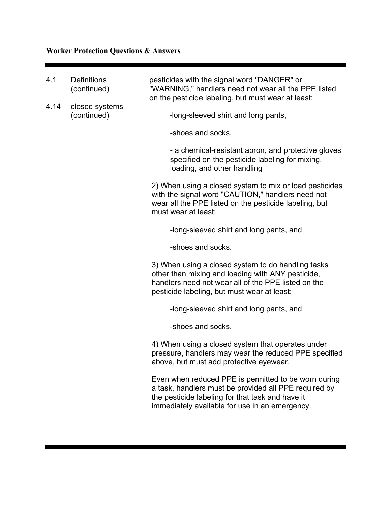# **Worker Protection Questions & Answers**

| 4.1  | <b>Definitions</b><br>(continued) | pesticides with the signal word "DANGER" or<br>"WARNING," handlers need not wear all the PPE listed<br>on the pesticide labeling, but must wear at least:                                                           |
|------|-----------------------------------|---------------------------------------------------------------------------------------------------------------------------------------------------------------------------------------------------------------------|
| 4.14 | closed systems<br>(continued)     | -long-sleeved shirt and long pants,                                                                                                                                                                                 |
|      |                                   | -shoes and socks,                                                                                                                                                                                                   |
|      |                                   | - a chemical-resistant apron, and protective gloves<br>specified on the pesticide labeling for mixing,<br>loading, and other handling                                                                               |
|      |                                   | 2) When using a closed system to mix or load pesticides<br>with the signal word "CAUTION," handlers need not<br>wear all the PPE listed on the pesticide labeling, but<br>must wear at least:                       |
|      |                                   | -long-sleeved shirt and long pants, and                                                                                                                                                                             |
|      |                                   | -shoes and socks.                                                                                                                                                                                                   |
|      |                                   | 3) When using a closed system to do handling tasks<br>other than mixing and loading with ANY pesticide,<br>handlers need not wear all of the PPE listed on the<br>pesticide labeling, but must wear at least:       |
|      |                                   | -long-sleeved shirt and long pants, and                                                                                                                                                                             |
|      |                                   | -shoes and socks.                                                                                                                                                                                                   |
|      |                                   | 4) When using a closed system that operates under<br>pressure, handlers may wear the reduced PPE specified<br>above, but must add protective eyewear.                                                               |
|      |                                   | Even when reduced PPE is permitted to be worn during<br>a task, handlers must be provided all PPE required by<br>the pesticide labeling for that task and have it<br>immediately available for use in an emergency. |